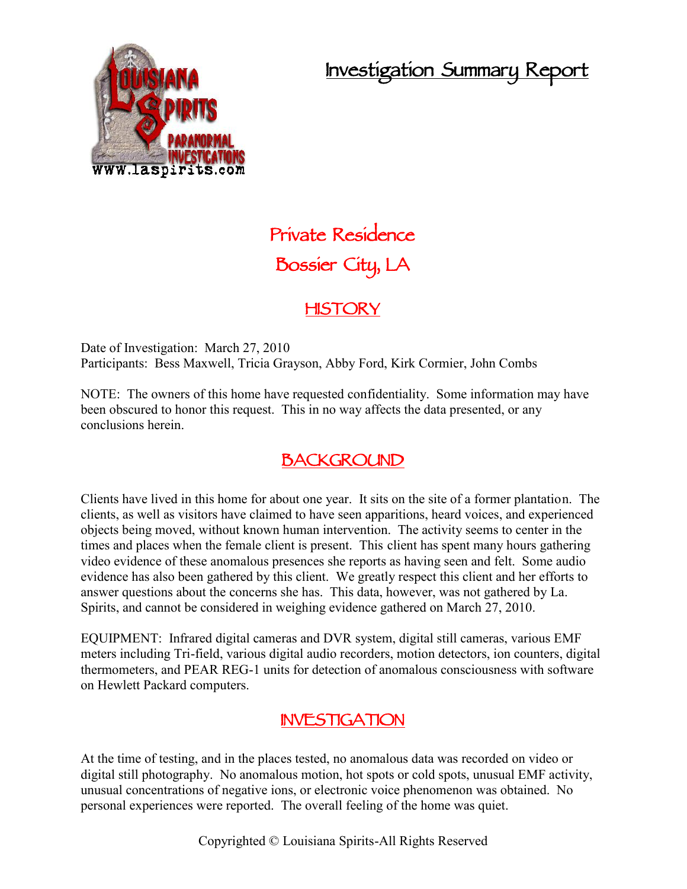## **Investigation Summary Report**



# **Private Residence Bossier City, LA**

#### **HISTORY**

Date of Investigation: March 27, 2010 Participants: Bess Maxwell, Tricia Grayson, Abby Ford, Kirk Cormier, John Combs

NOTE: The owners of this home have requested confidentiality. Some information may have been obscured to honor this request. This in no way affects the data presented, or any conclusions herein.

### **BACKGROUND**

Clients have lived in this home for about one year. It sits on the site of a former plantation. The clients, as well as visitors have claimed to have seen apparitions, heard voices, and experienced objects being moved, without known human intervention. The activity seems to center in the times and places when the female client is present. This client has spent many hours gathering video evidence of these anomalous presences she reports as having seen and felt. Some audio evidence has also been gathered by this client. We greatly respect this client and her efforts to answer questions about the concerns she has. This data, however, was not gathered by La. Spirits, and cannot be considered in weighing evidence gathered on March 27, 2010.

EQUIPMENT: Infrared digital cameras and DVR system, digital still cameras, various EMF meters including Tri-field, various digital audio recorders, motion detectors, ion counters, digital thermometers, and PEAR REG-1 units for detection of anomalous consciousness with software on Hewlett Packard computers.

#### **INVESTIGATION**

At the time of testing, and in the places tested, no anomalous data was recorded on video or digital still photography. No anomalous motion, hot spots or cold spots, unusual EMF activity, unusual concentrations of negative ions, or electronic voice phenomenon was obtained. No personal experiences were reported. The overall feeling of the home was quiet.